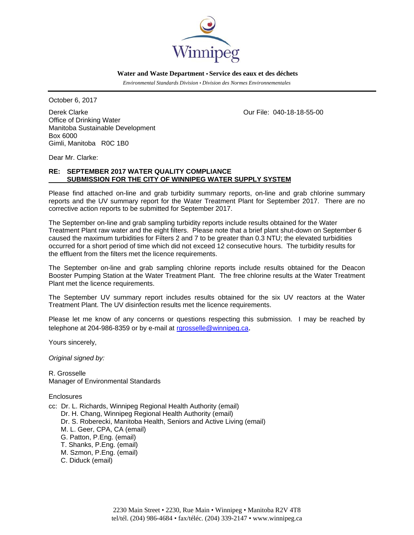

 **Water and Waste Department • Service des eaux et des déchets**

 *Environmental Standards Division • Division des Normes Environnementales* 

October 6, 2017

Derek Clarke Our File: 040-18-18-55-00 Office of Drinking Water Manitoba Sustainable Development Box 6000 Gimli, Manitoba R0C 1B0

Dear Mr. Clarke:

# **RE: SEPTEMBER 2017 WATER QUALITY COMPLIANCE SUBMISSION FOR THE CITY OF WINNIPEG WATER SUPPLY SYSTEM**

Please find attached on-line and grab turbidity summary reports, on-line and grab chlorine summary reports and the UV summary report for the Water Treatment Plant for September 2017. There are no corrective action reports to be submitted for September 2017.

The September on-line and grab sampling turbidity reports include results obtained for the Water Treatment Plant raw water and the eight filters. Please note that a brief plant shut-down on September 6 caused the maximum turbidities for Filters 2 and 7 to be greater than 0.3 NTU; the elevated turbidities occurred for a short period of time which did not exceed 12 consecutive hours. The turbidity results for the effluent from the filters met the licence requirements.

The September on-line and grab sampling chlorine reports include results obtained for the Deacon Booster Pumping Station at the Water Treatment Plant. The free chlorine results at the Water Treatment Plant met the licence requirements.

The September UV summary report includes results obtained for the six UV reactors at the Water Treatment Plant. The UV disinfection results met the licence requirements.

Please let me know of any concerns or questions respecting this submission. I may be reached by telephone at 204-986-8359 or by e-mail at rgrosselle@winnipeg.ca.

Yours sincerely,

*Original signed by:* 

R. Grosselle Manager of Environmental Standards

**Enclosures** 

cc: Dr. L. Richards, Winnipeg Regional Health Authority (email) Dr. H. Chang, Winnipeg Regional Health Authority (email) Dr. S. Roberecki, Manitoba Health, Seniors and Active Living (email) M. L. Geer, CPA, CA (email) G. Patton, P.Eng. (email) T. Shanks, P.Eng. (email) M. Szmon, P.Eng. (email) C. Diduck (email)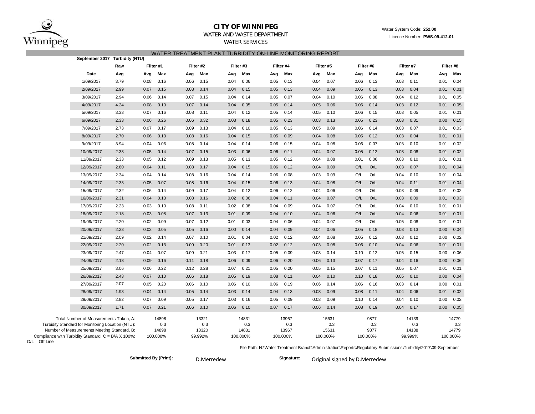

O/L = Off Line

# **CITY OF WINNIPEG**

## Water System Code: **252.00**

Licence Number: **PWS-09-412-01**

# WATER AND WASTE DEPARTMENT

WATER SERVICES

|  | WATER TREATMENT PLANT TURBIDITY ON-LINE MONITORING REPORT |  |  |  |
|--|-----------------------------------------------------------|--|--|--|
|--|-----------------------------------------------------------|--|--|--|

|                                                                                                  | September 2017 Turbidity (NTU) |           |              |      |              |      |              |      |              |      |              |      |             |      |              |      |              |
|--------------------------------------------------------------------------------------------------|--------------------------------|-----------|--------------|------|--------------|------|--------------|------|--------------|------|--------------|------|-------------|------|--------------|------|--------------|
|                                                                                                  | Raw                            | Filter #1 |              |      | Filter #2    |      | Filter #3    |      | Filter #4    |      | Filter #5    |      | Filter #6   |      | Filter #7    |      | Filter #8    |
| Date                                                                                             | Avg                            | Avg       | Max          | Avg  | Max          | Avg  | Max          | Avg  | Max          | Avg  | Max          | Avg  | Max         | Avg  | Max          | Avg  | Max          |
| 1/09/2017                                                                                        | 3.79                           | 0.08      | 0.16         | 0.06 | 0.15         | 0.04 | 0.06         | 0.05 | 0.13         | 0.04 | 0.07         | 0.06 | 0.13        | 0.03 | 0.11         | 0.01 | 0.04         |
| 2/09/2017                                                                                        | 2.99                           | 0.07      | 0.15         | 0.08 | 0.14         | 0.04 | 0.15         | 0.05 | 0.13         | 0.04 | 0.09         | 0.05 | 0.13        | 0.03 | 0.04         | 0.01 | 0.01         |
| 3/09/2017                                                                                        | 2.94                           | 0.06      | 0.14         | 0.07 | 0.15         | 0.04 | 0.14         | 0.05 | 0.07         | 0.04 | 0.10         | 0.06 | 0.08        | 0.04 | 0.12         | 0.01 | 0.05         |
| 4/09/2017                                                                                        | 4.24                           | 0.08      | 0.10         | 0.07 | 0.14         | 0.04 | 0.05         | 0.05 | 0.14         | 0.05 | 0.06         | 0.06 | 0.14        | 0.03 | 0.12         | 0.01 | 0.05         |
| 5/09/2017                                                                                        | 3.33                           | 0.07      | 0.16         | 0.08 | 0.11         | 0.04 | 0.12         | 0.05 | 0.14         | 0.05 | 0.10         | 0.06 | 0.15        | 0.03 | 0.05         | 0.01 | 0.01         |
| 6/09/2017                                                                                        | 2.33                           | 0.06      | 0.26         | 0.06 | 0.32         | 0.03 | 0.18         | 0.05 | 0.23         | 0.03 | 0.13         | 0.05 | 0.23        | 0.03 | 0.31         | 0.00 | 0.15         |
| 7/09/2017                                                                                        | 2.73                           | 0.07      | 0.17         | 0.09 | 0.13         | 0.04 | 0.10         | 0.05 | 0.13         | 0.05 | 0.09         | 0.06 | 0.14        | 0.03 | 0.07         | 0.01 | 0.03         |
| 8/09/2017                                                                                        | 2.70                           | 0.06      | 0.13         | 0.08 | 0.16         | 0.04 | 0.15         | 0.05 | 0.09         | 0.04 | 0.08         | 0.05 | 0.12        | 0.03 | 0.04         | 0.01 | 0.01         |
| 9/09/2017                                                                                        | 3.94                           | 0.04      | 0.06         | 0.08 | 0.14         | 0.04 | 0.14         | 0.06 | 0.15         | 0.04 | 0.08         | 0.06 | 0.07        | 0.03 | 0.10         | 0.01 | 0.02         |
| 10/09/2017                                                                                       | 2.33                           | 0.05      | 0.14         | 0.07 | 0.15         | 0.03 | 0.06         | 0.06 | 0.11         | 0.04 | 0.07         | 0.05 | 0.12        | 0.03 | 0.08         | 0.01 | 0.02         |
| 11/09/2017                                                                                       | 2.33                           | 0.05      | 0.12         | 0.09 | 0.13         | 0.05 | 0.13         | 0.05 | 0.12         | 0.04 | 0.08         | 0.01 | 0.06        | 0.03 | 0.10         | 0.01 | 0.01         |
| 12/09/2017                                                                                       | 2.80                           | 0.04      | 0.11         | 0.08 | 0.17         | 0.04 | 0.15         | 0.06 | 0.12         | 0.04 | 0.09         | O/L  | O/L         | 0.03 | 0.07         | 0.01 | 0.04         |
| 13/09/2017                                                                                       | 2.34                           | 0.04      | 0.14         | 0.08 | 0.16         | 0.04 | 0.14         | 0.06 | 0.08         | 0.03 | 0.09         | O/L  | O/L         | 0.04 | 0.10         | 0.01 | 0.04         |
| 14/09/2017                                                                                       | 2.33                           | 0.05      | 0.07         | 0.08 | 0.16         | 0.04 | 0.15         | 0.06 | 0.13         | 0.04 | 0.08         | O/L  | O/L         | 0.04 | 0.11         | 0.01 | 0.04         |
| 15/09/2017                                                                                       | 2.32                           | 0.06      | 0.14         | 0.09 | 0.17         | 0.04 | 0.12         | 0.06 | 0.12         | 0.04 | 0.06         | O/L  | O/L         | 0.03 | 0.09         | 0.01 | 0.02         |
| 16/09/2017                                                                                       | 2.31                           | 0.04      | 0.13         | 0.08 | 0.16         | 0.02 | 0.06         | 0.04 | 0.11         | 0.04 | 0.07         | O/L  | O/L         | 0.03 | 0.09         | 0.01 | 0.03         |
| 17/09/2017                                                                                       | 2.23                           | 0.03      | 0.10         | 0.08 | 0.11         | 0.02 | 0.08         | 0.04 | 0.09         | 0.04 | 0.07         | O/L  | O/L         | 0.04 | 0.10         | 0.01 | 0.01         |
| 18/09/2017                                                                                       | 2.18                           | 0.03      | 0.08         | 0.07 | 0.13         | 0.01 | 0.09         | 0.04 | 0.10         | 0.04 | 0.06         | O/L  | O/L         | 0.04 | 0.06         | 0.01 | 0.01         |
| 19/09/2017                                                                                       | 2.20                           | 0.02      | 0.09         | 0.07 | 0.12         | 0.01 | 0.03         | 0.04 | 0.06         | 0.04 | 0.07         | O/L  | O/L         | 0.05 | 0.08         | 0.01 | 0.01         |
| 20/09/2017                                                                                       | 2.23                           | 0.03      | 0.05         | 0.05 | 0.16         | 0.00 | 0.14         | 0.04 | 0.09         | 0.04 | 0.06         | 0.05 | 0.18        | 0.03 | 0.13         | 0.00 | 0.04         |
| 21/09/2017                                                                                       | 2.09                           | 0.02      | 0.14         | 0.07 | 0.10         | 0.01 | 0.04         | 0.02 | 0.12         | 0.04 | 0.08         | 0.05 | 0.12        | 0.03 | 0.12         | 0.00 | 0.02         |
| 22/09/2017                                                                                       | 2.20                           | 0.02      | 0.13         | 0.09 | 0.20         | 0.01 | 0.13         | 0.02 | 0.12         | 0.03 | 0.08         | 0.06 | 0.10        | 0.04 | 0.06         | 0.01 | 0.01         |
| 23/09/2017                                                                                       | 2.47                           | 0.04      | 0.07         | 0.09 | 0.21         | 0.03 | 0.17         | 0.05 | 0.09         | 0.03 | 0.14         | 0.10 | 0.12        | 0.05 | 0.15         | 0.00 | 0.06         |
| 24/09/2017                                                                                       | 2.18                           | 0.09      | 0.16         | 0.11 | 0.18         | 0.06 | 0.09         | 0.06 | 0.20         | 0.06 | 0.13         | 0.07 | 0.17        | 0.04 | 0.16         | 0.00 | 0.06         |
| 25/09/2017                                                                                       | 3.06                           | 0.06      | 0.22         | 0.12 | 0.28         | 0.07 | 0.21         | 0.05 | 0.20         | 0.05 | 0.15         | 0.07 | 0.11        | 0.05 | 0.07         | 0.01 | 0.01         |
| 26/09/2017                                                                                       | 2.43                           | 0.07      | 0.10         | 0.06 | 0.18         | 0.05 | 0.19         | 0.08 | 0.11         | 0.04 | 0.10         | 0.10 | 0.18        | 0.05 | 0.10         | 0.00 | 0.04         |
| 27/09/2017                                                                                       | 2.07                           | 0.05      | 0.20         | 0.06 | 0.10         | 0.06 | 0.10         | 0.06 | 0.19         | 0.06 | 0.14         | 0.06 | 0.16        | 0.03 | 0.14         | 0.00 | 0.01         |
| 28/09/2017                                                                                       | 1.93                           | 0.04      | 0.14         | 0.05 | 0.14         | 0.03 | 0.14         | 0.04 | 0.13         | 0.03 | 0.09         | 0.08 | 0.11        | 0.04 | 0.06         | 0.01 | 0.02         |
| 29/09/2017                                                                                       | 2.82                           | 0.07      | 0.09         | 0.05 | 0.17         | 0.03 | 0.16         | 0.05 | 0.09         | 0.03 | 0.09         | 0.10 | 0.14        | 0.04 | 0.10         | 0.00 | 0.02         |
| 30/09/2017                                                                                       | 1.71                           | 0.07      | 0.21         | 0.06 | 0.10         | 0.06 | 0.10         | 0.07 | 0.17         | 0.06 | 0.14         | 0.08 | 0.19        | 0.04 | 0.17         | 0.00 | 0.05         |
| Total Number of Measurements Taken, A:                                                           |                                |           | 14898        |      | 13321        |      | 14831        |      | 13967        |      | 15631        |      | 9877        |      | 14139        |      | 14779        |
| Turbidity Standard for Monitoring Location (NTU):<br>Number of Measurements Meeting Standard, B: |                                |           | 0.3<br>14898 |      | 0.3<br>13320 |      | 0.3<br>14831 |      | 0.3<br>13967 |      | 0.3<br>15631 |      | 0.3<br>9877 |      | 0.3<br>14138 |      | 0.3<br>14779 |
| Compliance with Turbidity Standard, $C = B/A \times 100\%$ :                                     |                                |           | 100.000%     |      | 99.992%      |      | 100.000%     |      | 100.000%     |      | 100.000%     |      | 100.000%    |      | 99.999%      |      | 100.000%     |

File Path: N:\Water Treatment Branch\Administration\Reports\Regulatory Submissions\Turbidity\2017\09-September

**Submitted By (Print): Signature:**

Original signed by D.Merredew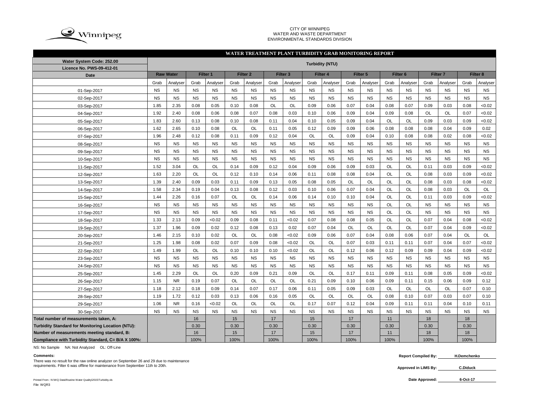

### CITY OF WINNIPEG WATER AND WASTE DEPARTMENT ENVIRONMENTAL STANDARDS DIVISION

### Grab |Analyser| Grab |Analyser| Grab |Analyser| Grab |Analyser| Grab |Analyser| Grab |Analyser| Grab |Grab |Analyser| Grab |Analyser NS NS NS NS NS NS NS NS NS NS NS NS NS NS NS NS NS NS NS NS NS NS NS NS NS NS NS NS NS NS NS NS NS NS NS NS 1.85 2.35 0.08 0.05 0.10 0.08 OL OL 0.09 0.06 0.07 0.04 0.08 0.07 0.09 0.03 0.08 <0.02 1.92 2.40 0.08 0.06 0.08 0.07 0.08 0.03 0.10 0.06 0.09 0.04 0.09 0.08 OL OL 0.07 <0.02 1.83 2.60 0.13 0.08 0.10 0.08 0.11 0.04 0.10 0.05 0.09 0.04 OL OL 0.09 0.03 0.09 <0.02 1.62 2.65 0.10 0.08 OL OL 0.11 0.05 0.12 0.09 0.09 0.06 0.08 0.08 0.08 0.04 0.09 0.02 1.96 | 2.48 | 0.12 | 0.08 | 0.11 | 0.09 | 0.12 | 0.04 | OL | OL | 0.09 | 0.04 | 0.10 | 0.08 | 0.08 | 0.02 | 0.08 | <0.02 NS NS NS NS NS NS NS NS NS NS NS NS NS NS NS NS NS NS NS NS NS NS NS NS NS NS NS NS NS NS NS NS NS NS NS NS NS NS NS NS NS NS NS NS NS NS NS NS NS NS NS NS NS NS 1.52 3.04 OL OL 0.14 0.09 0.12 0.04 0.09 0.06 0.09 0.03 OL OL 0.11 0.03 0.09 <0.02 1.63 2.20 OL OL 0.12 0.10 0.14 0.06 0.11 0.08 0.08 0.04 OL OL 0.08 0.03 0.09 <0.02 1.39 2.40 0.09 0.03 0.11 0.09 0.13 0.05 0.08 0.05 OL OL OL OL 0.08 0.03 0.08 <0.02 1.58 | 2.34 | 0.19 | 0.04 | 0.13 | 0.08 | 0.12 | 0.03 | 0.10 | 0.06 | 0.07 | 0.04 | OL | OL | OL | 0.08 | 0.03 | OL | OL 1.44 2.26 0.16 0.07 OL OL 0.14 0.06 0.14 0.10 0.10 0.04 OL OL 0.11 0.03 0.09 <0.02 NS NS NS NS NS NS NS NS NS NS NS NS OL OL NS NS NS NS NS NS NS NS NS NS NS NS NS NS NS NS OL OL NS NS NS NS 1.33 2.13 0.09 <0.02 0.09 0.08 0.11 <0.02 0.07 0.08 0.08 0.05 OL OL 0.07 0.04 0.08 <0.02 1.37 1.96 0.09 0.02 0.12 0.08 0.13 0.02 0.07 0.04 OL OL OL OL 0.07 0.04 0.09 <0.02 1.46 | 2.15 | 0.10 | 0.02 | OL | OL | 0.08 | <0.02 | 0.09 | 0.06 | 0.07 | 0.04 | 0.06 | 0.07 | 0.04 | OL | OL 1.25 1.98 0.08 0.02 0.07 0.09 0.08 <0.02 OL OL 0.07 0.03 0.11 0.11 0.07 0.04 0.07 <0.02 1.49 | 1.99 | OL | OL | 0.10 | 0.10 | 0.10 | <0.02 | OL | OL | 0.12 | 0.06 | 0.12 | 0.09 | 0.09 | 0.04 | 0.09 | <0.02 NS NS NS NS NS NS NS NS NS NS NS NS NS NS NS NS NS NS NS NS NS NS NS NS NS NS NS NS NS NS NS NS NS NS NS NS 1.45 2.29 | OL | OL | 0.20 | 0.09 | 0.21 | 0.09 | OL | OL | 0.17 | 0.11 | 0.09 | 0.11 | 0.08 | 0.05 | 0.09 | <0.02 1.15 | NR | 0.19 | 0.07 | OL | OL | OL | OL | 0.21 | 0.09 | 0.10 | 0.06 | 0.09 | 0.11 | 0.15 | 0.06 | 0.09 | 0.12 1.18 | 2.12 | 0.18 | 0.09 | 0.14 | 0.07 | 0.17 | 0.06 | 0.11 | 0.05 | 0.09 | 0.03 | OL | OL | OL | OL | OL | 0.07 | 0.10 1.19 | 1.72 | 0.12 | 0.03 | 0.13 | 0.06 | 0.16 | 0.05 | OL | OL | OL | OL | 0.08 | 0.10 | 0.07 | 0.03 | 0.07 | 0.10 1.06 | NR | 0.16 | <0.02 | OL | OL | OL | OL | 0.17 | 0.07 | 0.12 | 0.04 | 0.09 | 0.11 | 0.11 | 0.04 | 0.10 | 0.11 NS NS NS NS NS NS NS NS NS NS NS NS NS NS NS NS NS NS **Total number of measurements taken, A:** 18 15 16 15 16 16 17 17 17 17 17 17 17 17 18 18 18 **Turbidity Standard for Monitoring Location (NTU):** | 0.30 | 0.30 | 0.30 | 0.30 | 0.30 | 0.30 | 0.30 | 0.30 | 0.30 | 0.30 | 0.30 | 0.30 | 0.30 | 0.30 | 0.30 | 0.30 | 0.30 | 0.30 | 0.30 | 0.30 | 0.30 | 0.30 | 0.30 | 0.30 | **Number of measurements meeting standard, B:** 16 15 17 15 17 11 18 18 25-Sep-2017 26-Sep-2017 27-Sep-2017 28-Sep-2017 29-Sep-2017 30-Sep-2017 24-Sep-2017 13-Sep-2017 14-Sep-2017 15-Sep-2017 16-Sep-2017 17-Sep-2017 18-Sep-2017 19-Sep-2017 20-Sep-2017 21-Sep-2017 22-Sep-2017 23-Sep-2017 12-Sep-2017 01-Sep-2017 02-Sep-2017 03-Sep-2017 04-Sep-2017 05-Sep-2017 06-Sep-2017 07-Sep-2017 08-Sep-2017 09-Sep-2017 10-Sep-2017 11-Sep-2017 **WATER TREATMENT PLANT TURBIDITY GRAB MONITORING REPORT Water System Code: 252.00 Turbidity (NTU) Licence No. PWS-09-412-01 Date Raw Water Filter 1 Filter 2 Filter 3 Filter 4 Filter 5 Filter 6 Filter 7 Filter 8**

**Compliance with Turbidity Standard, C= B/A X 100%:** 100% 100% 100% 100% 100% 100% 100% 100%

NS: No Sample NA: Not Analyzed OL: Off-Line

There was no result for the raw online analyzer on September 26 and 29 due to maintenance requirements. Filter 6 was offline for maintenance from September 11th to 20th. **C.Diduck**

Printed From : N:\WQ Data\Routine Water Quality\2015\Turbidity.xls **Date Approved:** File: WQR3

**Comments: Report Compiled By: H.Demchenko**

**Approved in LIMS By:**

**6-Oct-17**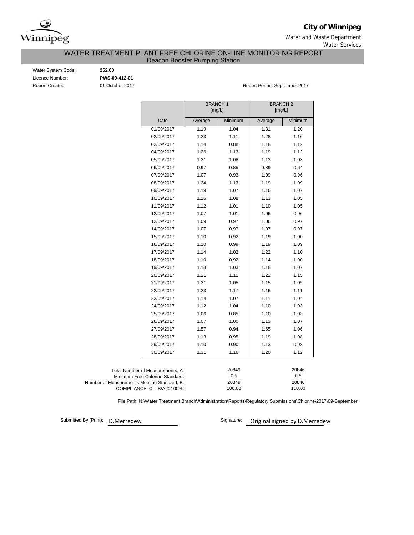

**City of Winnipeg**

Water and Waste Department Water Services

WATER TREATMENT PLANT FREE CHLORINE ON-LINE MONITORING REPORT

Deacon Booster Pumping Station

Water System Code: **252.00** Licence Number: **PWS-09-412-01**

Report Created: 01 October 2017 **Report Period: September 2017** Report Period: September 2017

|                                             |                                      | <b>BRANCH1</b><br>[mg/L] |              | <b>BRANCH 2</b><br>[mg/L] |              |
|---------------------------------------------|--------------------------------------|--------------------------|--------------|---------------------------|--------------|
|                                             | Date                                 | Average                  | Minimum      | Average                   | Minimum      |
|                                             | 01/09/2017                           | 1.19                     | 1.04         | 1.31                      | 1.20         |
|                                             | 02/09/2017                           | 1.23                     | 1.11         | 1.28                      | 1.16         |
|                                             | 03/09/2017                           | 1.14                     | 0.88         | 1.18                      | 1.12         |
|                                             | 04/09/2017                           | 1.26                     | 1.13         | 1.19                      | 1.12         |
|                                             | 05/09/2017                           | 1.21                     | 1.08         | 1.13                      | 1.03         |
|                                             | 06/09/2017                           | 0.97                     | 0.85         | 0.89                      | 0.64         |
|                                             | 07/09/2017                           | 1.07                     | 0.93         | 1.09                      | 0.96         |
|                                             | 08/09/2017                           | 1.24                     | 1.13         | 1.19                      | 1.09         |
|                                             | 09/09/2017                           | 1.19                     | 1.07         | 1.16                      | 1.07         |
|                                             | 10/09/2017                           | 1.16                     | 1.08         | 1.13                      | 1.05         |
|                                             | 11/09/2017                           | 1.12                     | 1.01         | 1.10                      | 1.05         |
|                                             | 12/09/2017                           | 1.07                     | 1.01         | 1.06                      | 0.96         |
|                                             | 13/09/2017                           | 1.09                     | 0.97         | 1.06                      | 0.97         |
|                                             | 14/09/2017                           | 1.07                     | 0.97         | 1.07                      | 0.97         |
|                                             | 15/09/2017                           | 1.10                     | 0.92         | 1.19                      | 1.00         |
|                                             | 16/09/2017                           | 1.10                     | 0.99         | 1.19                      | 1.09         |
|                                             | 17/09/2017                           | 1.14                     | 1.02         | 1.22                      | 1.10         |
|                                             | 18/09/2017                           | 1.10                     | 0.92         | 1.14                      | 1.00         |
|                                             | 19/09/2017                           | 1.18                     | 1.03         | 1.18                      | 1.07         |
|                                             | 20/09/2017                           | 1.21                     | 1.11         | 1.22                      | 1.15         |
|                                             | 21/09/2017                           | 1.21                     | 1.05         | 1.15                      | 1.05         |
|                                             | 22/09/2017                           | 1.23                     | 1.17         | 1.16                      | 1.11         |
|                                             | 23/09/2017                           | 1.14                     | 1.07         | 1.11                      | 1.04         |
|                                             | 24/09/2017                           | 1.12                     | 1.04         | 1.10                      | 1.03         |
|                                             | 25/09/2017                           | 1.06                     | 0.85         | 1.10                      | 1.03         |
|                                             | 26/09/2017                           | 1.07                     | 1.00         | 1.13                      | 1.07         |
|                                             | 27/09/2017                           | 1.57                     | 0.94         | 1.65                      | 1.06         |
|                                             | 28/09/2017                           | 1.13                     | 0.95         | 1.19                      | 1.08         |
|                                             | 29/09/2017                           | 1.10                     | 0.90         | 1.13                      | 0.98         |
|                                             | 30/09/2017                           | 1.31                     | 1.16         | 1.20                      | 1.12         |
|                                             |                                      |                          |              |                           |              |
|                                             | Total Number of Measurements, A:     |                          | 20849<br>0.5 |                           | 20846<br>0.5 |
| Number of Measurements Meeting Standard, B: | Minimum Free Chlorine Standard:      |                          | 20849        |                           | 20846        |
|                                             | COMPLIANCE, $C = B/A \times 100\%$ : |                          | 100.00       |                           | 100.00       |

File Path: N:\Water Treatment Branch\Administration\Reports\Regulatory Submissions\Chlorine\2017\09-September

Submitted By (Print): D.Merredew

Signature: Original signed by D.Merredew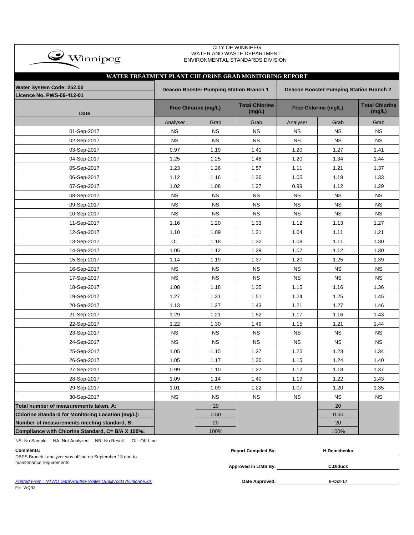| $\clubsuit$ Winnipeg                                  | <b>CITT OF WINNIFEG</b><br>WATER AND WASTE DEPARTMENT<br>ENVIRONMENTAL STANDARDS DIVISION |                      |                                 |           |                      |                                 |  |  |  |  |  |  |  |  |
|-------------------------------------------------------|-------------------------------------------------------------------------------------------|----------------------|---------------------------------|-----------|----------------------|---------------------------------|--|--|--|--|--|--|--|--|
|                                                       |                                                                                           |                      |                                 |           |                      |                                 |  |  |  |  |  |  |  |  |
| WATER TREATMENT PLANT CHLORINE GRAB MONITORING REPORT |                                                                                           |                      |                                 |           |                      |                                 |  |  |  |  |  |  |  |  |
| Water System Code: 252.00                             | Deacon Booster Pumping Station Branch 1<br>Deacon Booster Pumping Station Branch 2        |                      |                                 |           |                      |                                 |  |  |  |  |  |  |  |  |
| <b>Licence No. PWS-09-412-01</b>                      |                                                                                           |                      |                                 |           |                      |                                 |  |  |  |  |  |  |  |  |
| <b>Date</b>                                           |                                                                                           | Free Chlorine (mg/L) | <b>Total Chlorine</b><br>(mg/L) |           | Free Chlorine (mg/L) | <b>Total Chlorine</b><br>(mg/L) |  |  |  |  |  |  |  |  |
|                                                       | Analyser                                                                                  | Grab                 | Grab                            | Analyser  | Grab                 | Grab                            |  |  |  |  |  |  |  |  |
| 01-Sep-2017                                           | <b>NS</b>                                                                                 | <b>NS</b>            | <b>NS</b>                       | <b>NS</b> | <b>NS</b>            | <b>NS</b>                       |  |  |  |  |  |  |  |  |
| 02-Sep-2017                                           | <b>NS</b>                                                                                 | <b>NS</b>            | <b>NS</b>                       | <b>NS</b> | <b>NS</b>            | <b>NS</b>                       |  |  |  |  |  |  |  |  |
| 03-Sep-2017                                           | 0.97                                                                                      | 1.19                 | 1.41                            | 1.20      | 1.27                 | 1.41                            |  |  |  |  |  |  |  |  |
| 04-Sep-2017                                           | 1.25                                                                                      | 1.25                 | 1.48                            | 1.20      | 1.34                 | 1.44                            |  |  |  |  |  |  |  |  |
| 05-Sep-2017                                           | 1.23                                                                                      | 1.26                 | 1.57                            | 1.11      | 1.21                 | 1.37                            |  |  |  |  |  |  |  |  |
| 06-Sep-2017                                           | 1.12                                                                                      | 1.16                 | 1.36                            | 1.05      | 1.19                 | 1.33                            |  |  |  |  |  |  |  |  |
| 07-Sep-2017                                           | 1.02                                                                                      | 1.08                 | 1.27                            | 0.99      | 1.12                 | 1.29                            |  |  |  |  |  |  |  |  |
| 08-Sep-2017                                           | <b>NS</b>                                                                                 | <b>NS</b>            | <b>NS</b>                       | ΝS        | ΝS                   | <b>NS</b>                       |  |  |  |  |  |  |  |  |
| 09-Sep-2017                                           | <b>NS</b>                                                                                 | <b>NS</b>            | <b>NS</b>                       | <b>NS</b> | <b>NS</b>            | <b>NS</b>                       |  |  |  |  |  |  |  |  |
| 10-Sep-2017                                           | <b>NS</b>                                                                                 | <b>NS</b>            | <b>NS</b>                       | <b>NS</b> | <b>NS</b>            | <b>NS</b>                       |  |  |  |  |  |  |  |  |
| 11-Sep-2017                                           | 1.16                                                                                      | 1.20                 | 1.33                            | 1.12      | 1.13                 | 1.27                            |  |  |  |  |  |  |  |  |
| 12-Sep-2017                                           | 1.10                                                                                      | 1.09                 | 1.31                            | 1.04      | 1.11                 | 1.21                            |  |  |  |  |  |  |  |  |
| 13-Sep-2017                                           | OL                                                                                        | 1.18                 | 1.32                            | 1.08      | 1.11                 | 1.30                            |  |  |  |  |  |  |  |  |
| 14-Sep-2017                                           | 1.05                                                                                      | 1.12                 | 1.29                            | 1.07      | 1.12                 | 1.30                            |  |  |  |  |  |  |  |  |
| 15-Sep-2017                                           | 1.14                                                                                      | 1.19                 | 1.37                            | 1.20      | 1.25                 | 1.39                            |  |  |  |  |  |  |  |  |
| 16-Sep-2017                                           | <b>NS</b>                                                                                 | <b>NS</b>            | <b>NS</b>                       | <b>NS</b> | ΝS                   | <b>NS</b>                       |  |  |  |  |  |  |  |  |
| 17-Sep-2017                                           | <b>NS</b>                                                                                 | <b>NS</b>            | <b>NS</b>                       | <b>NS</b> | ΝS                   | <b>NS</b>                       |  |  |  |  |  |  |  |  |
| 18-Sep-2017                                           | 1.08                                                                                      | 1.18                 | 1.35                            | 1.15      | 1.16                 | 1.36                            |  |  |  |  |  |  |  |  |
| 19-Sep-2017                                           | 1.27                                                                                      | 1.31                 | 1.51                            | 1.24      | 1.25                 | 1.45                            |  |  |  |  |  |  |  |  |
| 20-Sep-2017                                           | 1.13                                                                                      | 1.27                 | 1.43                            | 1.21      | 1.27                 | 1.46                            |  |  |  |  |  |  |  |  |
| 21-Sep-2017                                           | 1.29                                                                                      | 1.21                 | 1.52                            | 1.17      | 1.16                 | 1.43                            |  |  |  |  |  |  |  |  |
| 22-Sep-2017                                           | 1.22                                                                                      | 1.30                 | 1.49                            | 1.15      | 1.21                 | 1.44                            |  |  |  |  |  |  |  |  |
| 23-Sep-2017                                           | <b>NS</b>                                                                                 | <b>NS</b>            | <b>NS</b>                       | ΝS        | <b>NS</b>            | <b>NS</b>                       |  |  |  |  |  |  |  |  |
| 24-Sep-2017                                           | <b>NS</b>                                                                                 | <b>NS</b>            | ΝS                              | <b>NS</b> | ΝS                   | <b>NS</b>                       |  |  |  |  |  |  |  |  |
| 25-Sep-2017                                           | 1.05                                                                                      | 1.15                 | 1.27                            | 1.25      | 1.23                 | 1.34                            |  |  |  |  |  |  |  |  |
| 26-Sep-2017                                           | 1.05                                                                                      | 1.17                 | 1.30                            | 1.15      | 1.24                 | 1.40                            |  |  |  |  |  |  |  |  |
| 27-Sep-2017                                           | 0.99                                                                                      | 1.10                 | 1.27                            | 1.12      | 1.18                 | 1.37                            |  |  |  |  |  |  |  |  |
| 28-Sep-2017                                           | 1.09                                                                                      | 1.14                 | 1.40                            | 1.19      | 1.22                 | 1.43                            |  |  |  |  |  |  |  |  |
| 29-Sep-2017                                           | 1.01                                                                                      | 1.09                 | 1.22                            | 1.07      | 1.20                 | 1.35                            |  |  |  |  |  |  |  |  |
| 30-Sep-2017                                           | <b>NS</b>                                                                                 | <b>NS</b>            | <b>NS</b>                       | <b>NS</b> | <b>NS</b>            | <b>NS</b>                       |  |  |  |  |  |  |  |  |
| Total number of measurements taken, A:                |                                                                                           | 20                   |                                 |           | 20                   |                                 |  |  |  |  |  |  |  |  |
| Chlorine Standard for Monitoring Location (mg/L):     |                                                                                           | 0.50                 |                                 |           | 0.50                 |                                 |  |  |  |  |  |  |  |  |
| Number of measurements meeting standard, B:           |                                                                                           | 20                   |                                 |           | 20                   |                                 |  |  |  |  |  |  |  |  |
| Compliance with Chlorine Standard, C= B/A X 100%:     |                                                                                           | 100%                 |                                 |           | 100%                 |                                 |  |  |  |  |  |  |  |  |

CITY OF WINNIPEG

NS: No Sample NA: Not Analyzed NR: No Result OL: Off-Line

**Approved in LIMS By:** maintenance requirements. **C.Diduck** DBPS Branch I analyzer was offline on September 13 due to

**Comments: Report Compiled By: H.Demchenko**

**Printed From : N:\WQ Data\Routine Water Quality\2017\Chlorine.xls** File: WQR3

Date Approved: 6-Oct-17